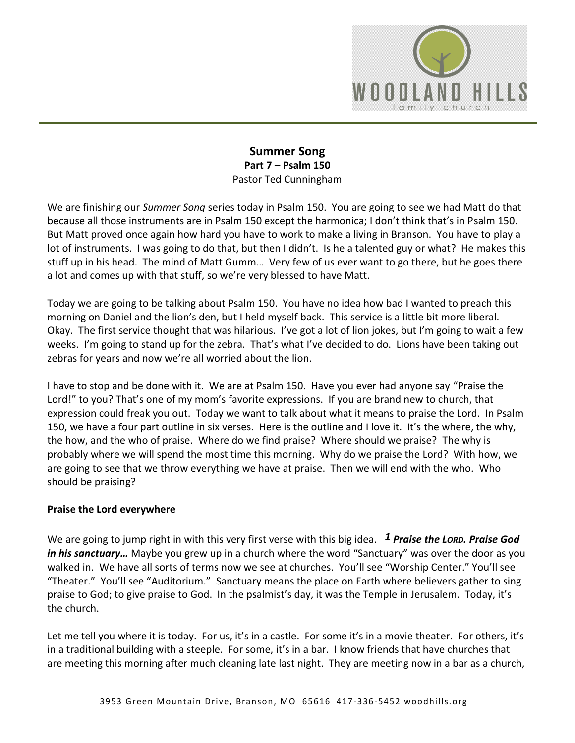

# **Summer Song Part 7 – Psalm 150**  Pastor Ted Cunningham

We are finishing our *Summer Song* series today in Psalm 150. You are going to see we had Matt do that because all those instruments are in Psalm 150 except the harmonica; I don't think that's in Psalm 150. But Matt proved once again how hard you have to work to make a living in Branson. You have to play a lot of instruments. I was going to do that, but then I didn't. Is he a talented guy or what? He makes this stuff up in his head. The mind of Matt Gumm… Very few of us ever want to go there, but he goes there a lot and comes up with that stuff, so we're very blessed to have Matt.

Today we are going to be talking about Psalm 150. You have no idea how bad I wanted to preach this morning on Daniel and the lion's den, but I held myself back. This service is a little bit more liberal. Okay. The first service thought that was hilarious. I've got a lot of lion jokes, but I'm going to wait a few weeks. I'm going to stand up for the zebra. That's what I've decided to do. Lions have been taking out zebras for years and now we're all worried about the lion.

I have to stop and be done with it. We are at Psalm 150. Have you ever had anyone say "Praise the Lord!" to you? That's one of my mom's favorite expressions. If you are brand new to church, that expression could freak you out. Today we want to talk about what it means to praise the Lord. In Psalm 150, we have a four part outline in six verses. Here is the outline and I love it. It's the where, the why, the how, and the who of praise. Where do we find praise? Where should we praise? The why is probably where we will spend the most time this morning. Why do we praise the Lord? With how, we are going to see that we throw everything we have at praise. Then we will end with the who. Who should be praising?

#### **Praise the Lord everywhere**

We are going to jump right in with this very first verse with this big idea. *[1](http://www.studylight.org/desk/?q=ps%20150:1&t1=en_niv&sr=1) Praise the LORD. Praise God in his sanctuary…* Maybe you grew up in a church where the word "Sanctuary" was over the door as you walked in. We have all sorts of terms now we see at churches. You'll see "Worship Center." You'll see "Theater." You'll see "Auditorium." Sanctuary means the place on Earth where believers gather to sing praise to God; to give praise to God. In the psalmist's day, it was the Temple in Jerusalem. Today, it's the church.

Let me tell you where it is today. For us, it's in a castle. For some it's in a movie theater. For others, it's in a traditional building with a steeple. For some, it's in a bar. I know friends that have churches that are meeting this morning after much cleaning late last night. They are meeting now in a bar as a church,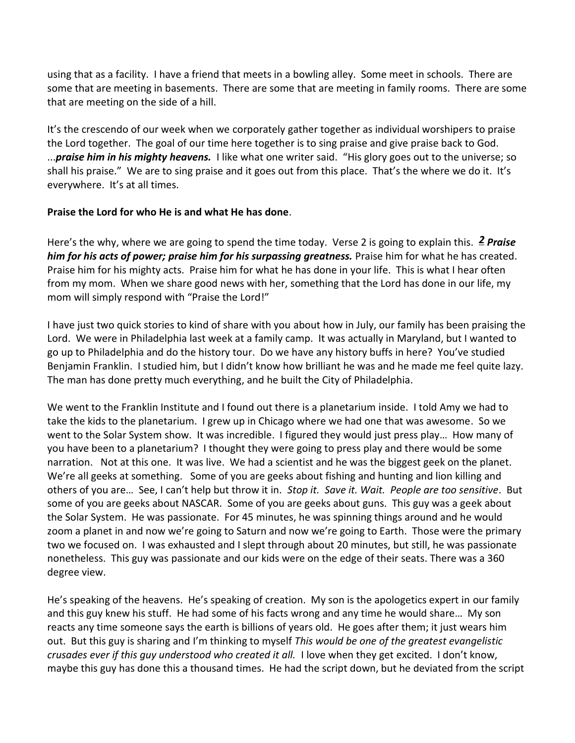using that as a facility. I have a friend that meets in a bowling alley. Some meet in schools. There are some that are meeting in basements. There are some that are meeting in family rooms. There are some that are meeting on the side of a hill.

It's the crescendo of our week when we corporately gather together as individual worshipers to praise the Lord together. The goal of our time here together is to sing praise and give praise back to God. ...*praise him in his mighty heavens.* I like what one writer said. "His glory goes out to the universe; so shall his praise." We are to sing praise and it goes out from this place. That's the where we do it. It's everywhere. It's at all times.

## **Praise the Lord for who He is and what He has done**.

Here's the why, where we are going to spend the time today. Verse 2 is going to explain this. *[2](http://www.studylight.org/desk/?q=ps%20150:2&t1=en_niv&sr=1) Praise*  him for his acts of power; praise him for his surpassing greatness. Praise him for what he has created. Praise him for his mighty acts. Praise him for what he has done in your life. This is what I hear often from my mom. When we share good news with her, something that the Lord has done in our life, my mom will simply respond with "Praise the Lord!"

I have just two quick stories to kind of share with you about how in July, our family has been praising the Lord. We were in Philadelphia last week at a family camp. It was actually in Maryland, but I wanted to go up to Philadelphia and do the history tour. Do we have any history buffs in here? You've studied Benjamin Franklin. I studied him, but I didn't know how brilliant he was and he made me feel quite lazy. The man has done pretty much everything, and he built the City of Philadelphia.

We went to the Franklin Institute and I found out there is a planetarium inside. I told Amy we had to take the kids to the planetarium. I grew up in Chicago where we had one that was awesome. So we went to the Solar System show. It was incredible. I figured they would just press play… How many of you have been to a planetarium? I thought they were going to press play and there would be some narration. Not at this one. It was live. We had a scientist and he was the biggest geek on the planet. We're all geeks at something. Some of you are geeks about fishing and hunting and lion killing and others of you are… See, I can't help but throw it in. *Stop it. Save it. Wait. People are too sensitive*. But some of you are geeks about NASCAR. Some of you are geeks about guns. This guy was a geek about the Solar System. He was passionate. For 45 minutes, he was spinning things around and he would zoom a planet in and now we're going to Saturn and now we're going to Earth. Those were the primary two we focused on. I was exhausted and I slept through about 20 minutes, but still, he was passionate nonetheless. This guy was passionate and our kids were on the edge of their seats. There was a 360 degree view.

He's speaking of the heavens. He's speaking of creation. My son is the apologetics expert in our family and this guy knew his stuff. He had some of his facts wrong and any time he would share… My son reacts any time someone says the earth is billions of years old. He goes after them; it just wears him out. But this guy is sharing and I'm thinking to myself *This would be one of the greatest evangelistic crusades ever if this guy understood who created it all.* I love when they get excited. I don't know, maybe this guy has done this a thousand times. He had the script down, but he deviated from the script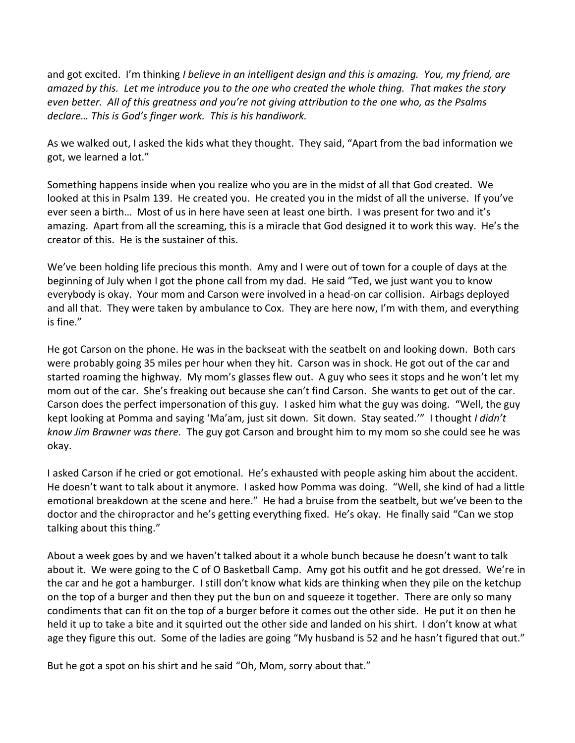and got excited. I'm thinking *I believe in an intelligent design and this is amazing. You, my friend, are amazed by this. Let me introduce you to the one who created the whole thing. That makes the story even better. All of this greatness and you're not giving attribution to the one who, as the Psalms declare… This is God's finger work. This is his handiwork.*

As we walked out, I asked the kids what they thought. They said, "Apart from the bad information we got, we learned a lot."

Something happens inside when you realize who you are in the midst of all that God created. We looked at this in Psalm 139. He created you. He created you in the midst of all the universe. If you've ever seen a birth… Most of us in here have seen at least one birth. I was present for two and it's amazing. Apart from all the screaming, this is a miracle that God designed it to work this way. He's the creator of this. He is the sustainer of this.

We've been holding life precious this month. Amy and I were out of town for a couple of days at the beginning of July when I got the phone call from my dad. He said "Ted, we just want you to know everybody is okay. Your mom and Carson were involved in a head-on car collision. Airbags deployed and all that. They were taken by ambulance to Cox. They are here now, I'm with them, and everything is fine."

He got Carson on the phone. He was in the backseat with the seatbelt on and looking down. Both cars were probably going 35 miles per hour when they hit. Carson was in shock. He got out of the car and started roaming the highway. My mom's glasses flew out. A guy who sees it stops and he won't let my mom out of the car. She's freaking out because she can't find Carson. She wants to get out of the car. Carson does the perfect impersonation of this guy. I asked him what the guy was doing. "Well, the guy kept looking at Pomma and saying 'Ma'am, just sit down. Sit down. Stay seated.'" I thought *I didn't know Jim Brawner was there.* The guy got Carson and brought him to my mom so she could see he was okay.

I asked Carson if he cried or got emotional. He's exhausted with people asking him about the accident. He doesn't want to talk about it anymore. I asked how Pomma was doing. "Well, she kind of had a little emotional breakdown at the scene and here." He had a bruise from the seatbelt, but we've been to the doctor and the chiropractor and he's getting everything fixed. He's okay. He finally said "Can we stop talking about this thing."

About a week goes by and we haven't talked about it a whole bunch because he doesn't want to talk about it. We were going to the C of O Basketball Camp. Amy got his outfit and he got dressed. We're in the car and he got a hamburger. I still don't know what kids are thinking when they pile on the ketchup on the top of a burger and then they put the bun on and squeeze it together. There are only so many condiments that can fit on the top of a burger before it comes out the other side. He put it on then he held it up to take a bite and it squirted out the other side and landed on his shirt. I don't know at what age they figure this out. Some of the ladies are going "My husband is 52 and he hasn't figured that out."

But he got a spot on his shirt and he said "Oh, Mom, sorry about that."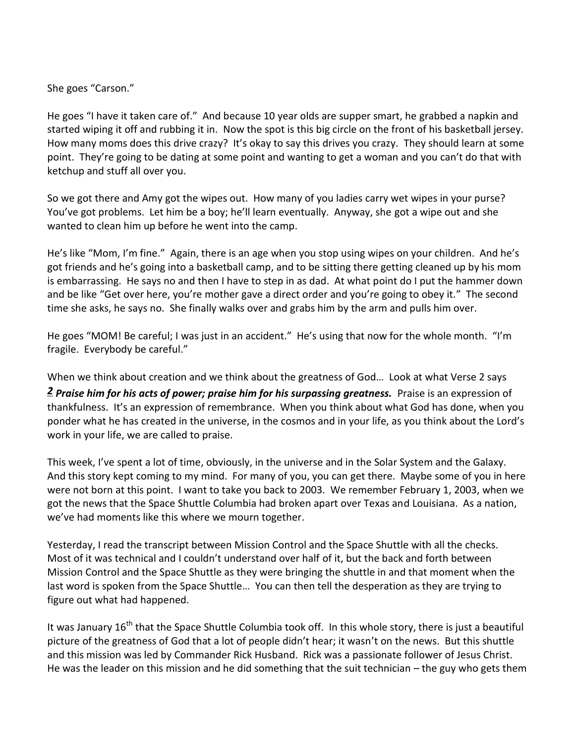She goes "Carson."

He goes "I have it taken care of." And because 10 year olds are supper smart, he grabbed a napkin and started wiping it off and rubbing it in. Now the spot is this big circle on the front of his basketball jersey. How many moms does this drive crazy? It's okay to say this drives you crazy. They should learn at some point. They're going to be dating at some point and wanting to get a woman and you can't do that with ketchup and stuff all over you.

So we got there and Amy got the wipes out. How many of you ladies carry wet wipes in your purse? You've got problems. Let him be a boy; he'll learn eventually. Anyway, she got a wipe out and she wanted to clean him up before he went into the camp.

He's like "Mom, I'm fine." Again, there is an age when you stop using wipes on your children. And he's got friends and he's going into a basketball camp, and to be sitting there getting cleaned up by his mom is embarrassing. He says no and then I have to step in as dad. At what point do I put the hammer down and be like "Get over here, you're mother gave a direct order and you're going to obey it." The second time she asks, he says no. She finally walks over and grabs him by the arm and pulls him over.

He goes "MOM! Be careful; I was just in an accident." He's using that now for the whole month. "I'm fragile. Everybody be careful."

When we think about creation and we think about the greatness of God… Look at what Verse 2 says

*[2](http://www.studylight.org/desk/?q=ps%20150:2&t1=en_niv&sr=1) Praise him for his acts of power; praise him for his surpassing greatness.* Praise is an expression of thankfulness. It's an expression of remembrance. When you think about what God has done, when you ponder what he has created in the universe, in the cosmos and in your life, as you think about the Lord's work in your life, we are called to praise.

This week, I've spent a lot of time, obviously, in the universe and in the Solar System and the Galaxy. And this story kept coming to my mind. For many of you, you can get there. Maybe some of you in here were not born at this point. I want to take you back to 2003. We remember February 1, 2003, when we got the news that the Space Shuttle Columbia had broken apart over Texas and Louisiana. As a nation, we've had moments like this where we mourn together.

Yesterday, I read the transcript between Mission Control and the Space Shuttle with all the checks. Most of it was technical and I couldn't understand over half of it, but the back and forth between Mission Control and the Space Shuttle as they were bringing the shuttle in and that moment when the last word is spoken from the Space Shuttle… You can then tell the desperation as they are trying to figure out what had happened.

It was January 16<sup>th</sup> that the Space Shuttle Columbia took off. In this whole story, there is just a beautiful picture of the greatness of God that a lot of people didn't hear; it wasn't on the news. But this shuttle and this mission was led by Commander Rick Husband. Rick was a passionate follower of Jesus Christ. He was the leader on this mission and he did something that the suit technician – the guy who gets them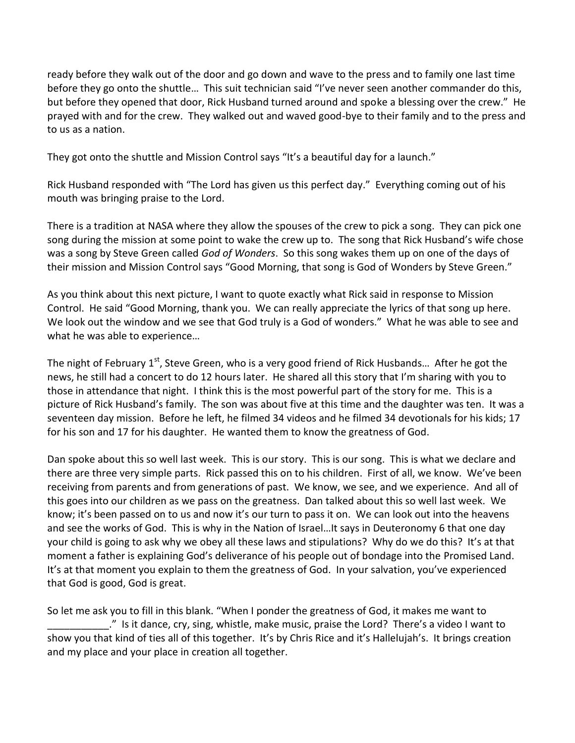ready before they walk out of the door and go down and wave to the press and to family one last time before they go onto the shuttle… This suit technician said "I've never seen another commander do this, but before they opened that door, Rick Husband turned around and spoke a blessing over the crew." He prayed with and for the crew. They walked out and waved good-bye to their family and to the press and to us as a nation.

They got onto the shuttle and Mission Control says "It's a beautiful day for a launch."

Rick Husband responded with "The Lord has given us this perfect day." Everything coming out of his mouth was bringing praise to the Lord.

There is a tradition at NASA where they allow the spouses of the crew to pick a song. They can pick one song during the mission at some point to wake the crew up to. The song that Rick Husband's wife chose was a song by Steve Green called *God of Wonders*. So this song wakes them up on one of the days of their mission and Mission Control says "Good Morning, that song is God of Wonders by Steve Green."

As you think about this next picture, I want to quote exactly what Rick said in response to Mission Control. He said "Good Morning, thank you. We can really appreciate the lyrics of that song up here. We look out the window and we see that God truly is a God of wonders." What he was able to see and what he was able to experience…

The night of February  $1^{st}$ , Steve Green, who is a very good friend of Rick Husbands... After he got the news, he still had a concert to do 12 hours later. He shared all this story that I'm sharing with you to those in attendance that night. I think this is the most powerful part of the story for me. This is a picture of Rick Husband's family. The son was about five at this time and the daughter was ten. It was a seventeen day mission. Before he left, he filmed 34 videos and he filmed 34 devotionals for his kids; 17 for his son and 17 for his daughter. He wanted them to know the greatness of God.

Dan spoke about this so well last week. This is our story. This is our song. This is what we declare and there are three very simple parts. Rick passed this on to his children. First of all, we know. We've been receiving from parents and from generations of past. We know, we see, and we experience. And all of this goes into our children as we pass on the greatness. Dan talked about this so well last week. We know; it's been passed on to us and now it's our turn to pass it on. We can look out into the heavens and see the works of God. This is why in the Nation of Israel…It says in Deuteronomy 6 that one day your child is going to ask why we obey all these laws and stipulations? Why do we do this? It's at that moment a father is explaining God's deliverance of his people out of bondage into the Promised Land. It's at that moment you explain to them the greatness of God. In your salvation, you've experienced that God is good, God is great.

So let me ask you to fill in this blank. "When I ponder the greatness of God, it makes me want to \_\_\_\_\_\_\_\_\_\_\_." Is it dance, cry, sing, whistle, make music, praise the Lord? There's a video I want to show you that kind of ties all of this together. It's by Chris Rice and it's Hallelujah's. It brings creation and my place and your place in creation all together.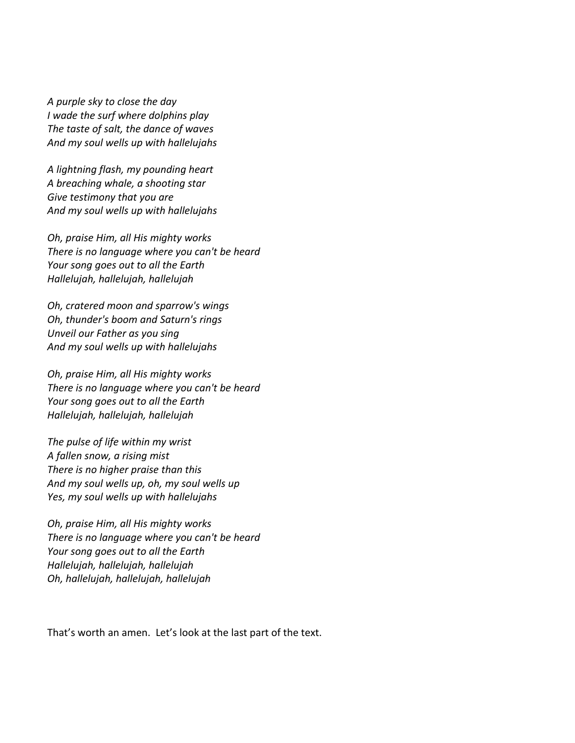*A purple sky to close the day I wade the surf where dolphins play The taste of salt, the dance of waves And my soul wells up with hallelujahs* 

*A lightning flash, my pounding heart A breaching whale, a shooting star Give testimony that you are And my soul wells up with hallelujahs* 

*Oh, praise Him, all His mighty works There is no language where you can't be heard Your song goes out to all the Earth Hallelujah, hallelujah, hallelujah* 

*Oh, cratered moon and sparrow's wings Oh, thunder's boom and Saturn's rings Unveil our Father as you sing And my soul wells up with hallelujahs* 

*Oh, praise Him, all His mighty works There is no language where you can't be heard Your song goes out to all the Earth Hallelujah, hallelujah, hallelujah* 

*The pulse of life within my wrist A fallen snow, a rising mist There is no higher praise than this And my soul wells up, oh, my soul wells up Yes, my soul wells up with hallelujahs* 

*Oh, praise Him, all His mighty works There is no language where you can't be heard Your song goes out to all the Earth Hallelujah, hallelujah, hallelujah Oh, hallelujah, hallelujah, hallelujah*

That's worth an amen. Let's look at the last part of the text.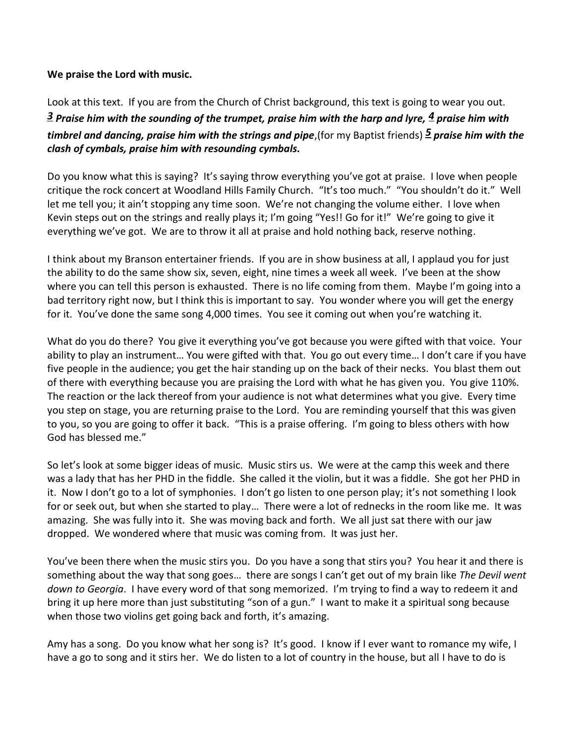### **We praise the Lord with music.**

Look at this text. If you are from the Church of Christ background, this text is going to wear you out. *[3](http://www.studylight.org/desk/?q=ps%20150:3&t1=en_niv&sr=1) Praise him with the sounding of the trumpet, praise him with the harp and lyre, [4](http://www.studylight.org/desk/?q=ps%20150:4&t1=en_niv&sr=1) praise him with timbrel and dancing, praise him with the strings and pipe*,(for my Baptist friends) *[5](http://www.studylight.org/desk/?q=ps%20150:5&t1=en_niv&sr=1) praise him with the clash of cymbals, praise him with resounding cymbals.* 

Do you know what this is saying? It's saying throw everything you've got at praise. I love when people critique the rock concert at Woodland Hills Family Church. "It's too much." "You shouldn't do it." Well let me tell you; it ain't stopping any time soon. We're not changing the volume either. I love when Kevin steps out on the strings and really plays it; I'm going "Yes!! Go for it!" We're going to give it everything we've got. We are to throw it all at praise and hold nothing back, reserve nothing.

I think about my Branson entertainer friends. If you are in show business at all, I applaud you for just the ability to do the same show six, seven, eight, nine times a week all week. I've been at the show where you can tell this person is exhausted. There is no life coming from them. Maybe I'm going into a bad territory right now, but I think this is important to say. You wonder where you will get the energy for it. You've done the same song 4,000 times. You see it coming out when you're watching it.

What do you do there? You give it everything you've got because you were gifted with that voice. Your ability to play an instrument… You were gifted with that. You go out every time… I don't care if you have five people in the audience; you get the hair standing up on the back of their necks. You blast them out of there with everything because you are praising the Lord with what he has given you. You give 110%. The reaction or the lack thereof from your audience is not what determines what you give. Every time you step on stage, you are returning praise to the Lord. You are reminding yourself that this was given to you, so you are going to offer it back. "This is a praise offering. I'm going to bless others with how God has blessed me."

So let's look at some bigger ideas of music. Music stirs us. We were at the camp this week and there was a lady that has her PHD in the fiddle. She called it the violin, but it was a fiddle. She got her PHD in it. Now I don't go to a lot of symphonies. I don't go listen to one person play; it's not something I look for or seek out, but when she started to play… There were a lot of rednecks in the room like me. It was amazing. She was fully into it. She was moving back and forth. We all just sat there with our jaw dropped. We wondered where that music was coming from. It was just her.

You've been there when the music stirs you. Do you have a song that stirs you? You hear it and there is something about the way that song goes… there are songs I can't get out of my brain like *The Devil went down to Georgia*. I have every word of that song memorized. I'm trying to find a way to redeem it and bring it up here more than just substituting "son of a gun." I want to make it a spiritual song because when those two violins get going back and forth, it's amazing.

Amy has a song. Do you know what her song is? It's good. I know if I ever want to romance my wife, I have a go to song and it stirs her. We do listen to a lot of country in the house, but all I have to do is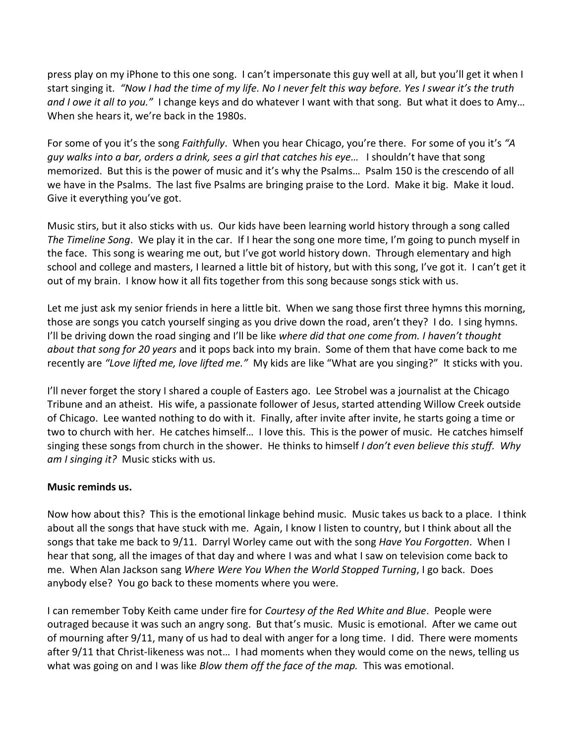press play on my iPhone to this one song. I can't impersonate this guy well at all, but you'll get it when I start singing it. *"Now I had the time of my life. No I never felt this way before. Yes I swear it's the truth and I owe it all to you."* I change keys and do whatever I want with that song. But what it does to Amy… When she hears it, we're back in the 1980s.

For some of you it's the song *Faithfully*. When you hear Chicago, you're there. For some of you it's *"A guy walks into a bar, orders a drink, sees a girl that catches his eye…* I shouldn't have that song memorized. But this is the power of music and it's why the Psalms… Psalm 150 is the crescendo of all we have in the Psalms. The last five Psalms are bringing praise to the Lord. Make it big. Make it loud. Give it everything you've got.

Music stirs, but it also sticks with us. Our kids have been learning world history through a song called *The Timeline Song*. We play it in the car. If I hear the song one more time, I'm going to punch myself in the face. This song is wearing me out, but I've got world history down. Through elementary and high school and college and masters, I learned a little bit of history, but with this song, I've got it. I can't get it out of my brain. I know how it all fits together from this song because songs stick with us.

Let me just ask my senior friends in here a little bit. When we sang those first three hymns this morning, those are songs you catch yourself singing as you drive down the road, aren't they? I do. I sing hymns. I'll be driving down the road singing and I'll be like *where did that one come from. I haven't thought about that song for 20 years* and it pops back into my brain. Some of them that have come back to me recently are *"Love lifted me, love lifted me."* My kids are like "What are you singing?" It sticks with you.

I'll never forget the story I shared a couple of Easters ago. Lee Strobel was a journalist at the Chicago Tribune and an atheist. His wife, a passionate follower of Jesus, started attending Willow Creek outside of Chicago. Lee wanted nothing to do with it. Finally, after invite after invite, he starts going a time or two to church with her. He catches himself… I love this. This is the power of music. He catches himself singing these songs from church in the shower. He thinks to himself *I don't even believe this stuff. Why am I singing it?* Music sticks with us.

## **Music reminds us.**

Now how about this? This is the emotional linkage behind music. Music takes us back to a place. I think about all the songs that have stuck with me. Again, I know I listen to country, but I think about all the songs that take me back to 9/11. Darryl Worley came out with the song *Have You Forgotten*. When I hear that song, all the images of that day and where I was and what I saw on television come back to me. When Alan Jackson sang *Where Were You When the World Stopped Turning*, I go back. Does anybody else? You go back to these moments where you were.

I can remember Toby Keith came under fire for *Courtesy of the Red White and Blue*. People were outraged because it was such an angry song. But that's music. Music is emotional. After we came out of mourning after 9/11, many of us had to deal with anger for a long time. I did. There were moments after 9/11 that Christ-likeness was not… I had moments when they would come on the news, telling us what was going on and I was like *Blow them off the face of the map.* This was emotional.